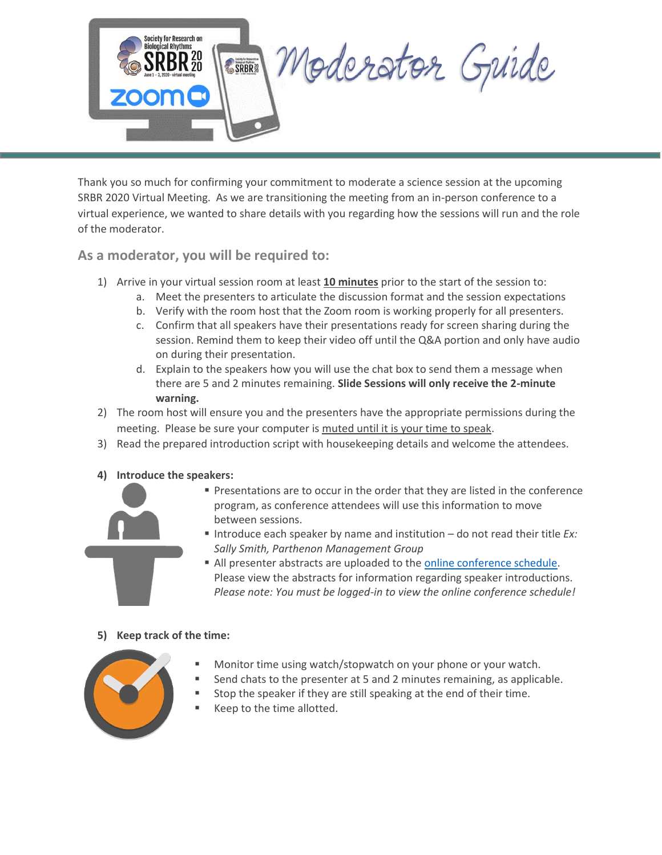

Thank you so much for confirming your commitment to moderate a science session at the upcoming SRBR 2020 Virtual Meeting. As we are transitioning the meeting from an in-person conference to a virtual experience, we wanted to share details with you regarding how the sessions will run and the role of the moderator.

**As a moderator, you will be required to:**

- 1) Arrive in your virtual session room at least **10 minutes** prior to the start of the session to:
	- a. Meet the presenters to articulate the discussion format and the session expectations
	- b. Verify with the room host that the Zoom room is working properly for all presenters.
	- c. Confirm that all speakers have their presentations ready for screen sharing during the session. Remind them to keep their video off until the Q&A portion and only have audio on during their presentation.
	- d. Explain to the speakers how you will use the chat box to send them a message when there are 5 and 2 minutes remaining. **Slide Sessions will only receive the 2-minute warning.**
- 2) The room host will ensure you and the presenters have the appropriate permissions during the meeting. Please be sure your computer is muted until it is your time to speak.
- 3) Read the prepared introduction script with housekeeping details and welcome the attendees.
- **4) Introduce the speakers:**



- **Presentations are to occur in the order that they are listed in the conference** program, as conference attendees will use this information to move between sessions.
- Introduce each speaker by name and institution do not read their title *Ex: Sally Smith, Parthenon Management Group*
- All presenter abstracts are uploaded to th[e online conference schedule.](https://srbr.societyconference.com/conf/#sessions/conf10003) Please view the abstracts for information regarding speaker introductions. *Please note: You must be logged-in to view the online conference schedule!*

## **5) Keep track of the time:**



- Monitor time using watch/stopwatch on your phone or your watch.
- Send chats to the presenter at 5 and 2 minutes remaining, as applicable.
- Stop the speaker if they are still speaking at the end of their time.
- Keep to the time allotted.